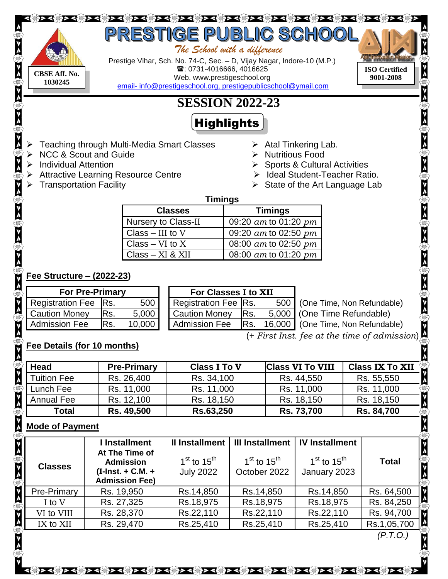# <u>प्रतिकार की कार्यक्रम के बाद के बाद के बाद के बाद के बाद के बाद के बाद के बाद के बाद के बाद के बाद पर पुण्य क</u>

 *The School with a difference* 



Prestige Vihar, Sch. No. 74-C, Sec. – D, Vijay Nagar, Indore-10 (M.P.) : 0731-4016666, 4016625 **CBSE Aff. No. CBSE Aff.** No. **CBSE Aff.** No. **CBSE Aff.** No. **CDECIDENT** Web. www.prestigeschool.org **Phone 2008 CONSECTED** email- [info@prestigeschool.org, prestigepublicschool@ymail.com](mailto:email-%20info@prestigeschool.org,%20prestigepublicschool@ymail.com) 

**ISO Certified**

 $> <\langle 0 \rangle > < \langle 0 \rangle > > \langle 0 \rangle > < \langle 0 \rangle > <$ 

# **SESSION 2022-23**

# **Highlights**

- Teaching through Multi-Media Smart Classes
- NCC & Scout and Guide
- $\triangleright$  Individual Attention
- Attractive Learning Resource Centre
- Transportation Facility
- $\triangleright$  Atal Tinkering Lab.
- $\triangleright$  Nutritious Food
- $\triangleright$  Sports & Cultural Activities
- > Ideal Student-Teacher Ratio.
- $\triangleright$  State of the Art Language Lab

#### **Timings**

| <b>Classes</b>             | <b>Timings</b>           |
|----------------------------|--------------------------|
| <b>Nursery to Class-II</b> | 09:20 $am$ to 01:20 $pm$ |
| Class $-$ III to V         | 09:20 $am$ to 02:50 $pm$ |
| Class $-$ VI to X          | 08:00 am to 02:50 pm     |
| $Class - XI & XII$         | 08:00 $am$ to 01:20 $pm$ |

## **Fee Structure – (2022-23)**

| <b>For Pre-Primary</b> |      |        | For Classes I to XII |      |                                         |
|------------------------|------|--------|----------------------|------|-----------------------------------------|
| Registration Fee Rs.   |      | 500    | Registration Fee Rs. |      | 500   (One Time, Non Refundable)        |
| <b>Caution Money</b>   | IRs. | 5,000  | <b>Caution Money</b> | IRs. | 5,000   (One Time Refundable)           |
| <b>Admission Fee</b>   | lRs. | 10,000 | <b>Admission Fee</b> |      | Rs. 16,000   (One Time, Non Refundable) |

# **Fee Details (for 10 months)**

| ∣ Admission Fee                                                                                   | IKS.<br>10,000 I   | Admission Fee<br>IKS. | 16,000   (One Time, Non Refundable) | V                                       |  |  |  |  |
|---------------------------------------------------------------------------------------------------|--------------------|-----------------------|-------------------------------------|-----------------------------------------|--|--|--|--|
| (+ First Inst. fee at the time of admission) $\bigoplus_{k=1}^{n}$<br>Fee Details (for 10 months) |                    |                       |                                     |                                         |  |  |  |  |
| Head                                                                                              | <b>Pre-Primary</b> | <b>Class I To V</b>   | <b>Class VI To VIII</b>             | $\frac{1}{2}$<br><b>Class IX To XII</b> |  |  |  |  |
| Tuition Fee                                                                                       | Rs. 26,400         | Rs. 34,100            | Rs. 44,550                          | Rs. 55,550                              |  |  |  |  |
| Lunch Fee                                                                                         | Rs. 11,000         | Rs. 11,000            | Rs. 11,000                          | Rs. 11,000                              |  |  |  |  |
| <b>Annual Fee</b>                                                                                 | Rs. 12,100         | Rs. 18,150            | Rs. 18,150                          | Rs. 18,150                              |  |  |  |  |
| <b>Total</b>                                                                                      | Rs. 49,500         | Rs.63,250             | Rs. 73,700                          | <b>Rs. 84,700</b>                       |  |  |  |  |

# **Mode of Payment**

 $\textcircled{1}$ 

|                    | I Installment                                                                      | II Installment                      | <b>III Installment</b>          | <b>IV Installment</b>           |              |
|--------------------|------------------------------------------------------------------------------------|-------------------------------------|---------------------------------|---------------------------------|--------------|
| <b>Classes</b>     | At The Time of<br><b>Admission</b><br>$(I-Inst. + C.M. +$<br><b>Admission Fee)</b> | $1st$ to $15th$<br><b>July 2022</b> | $1st$ to $15th$<br>October 2022 | $1st$ to $15th$<br>January 2023 | <b>Total</b> |
| <b>Pre-Primary</b> | Rs. 19,950                                                                         | Rs.14,850                           | Rs.14,850                       | Rs.14,850                       | Rs. 64,500   |
| I to V             | Rs. 27,325                                                                         | Rs.18,975                           | Rs.18,975                       | Rs.18,975                       | Rs. 84,250   |
| VI to VIII         | Rs. 28,370                                                                         | Rs.22,110                           | Rs.22,110                       | Rs.22,110                       | Rs. 94,700   |
| IX to XII          | Rs. 29,470                                                                         | Rs.25,410                           | Rs.25,410                       | Rs.25,410                       | Rs.1,05,700  |

 *(P.T.O.)*